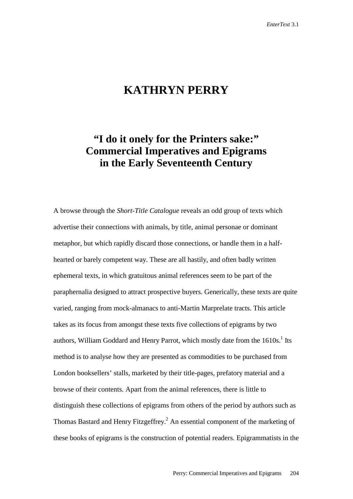## **KATHRYN PERRY**

## **"I do it onely for the Printers sake:" Commercial Imperatives and Epigrams in the Early Seventeenth Century**

A browse through the *Short-Title Catalogue* reveals an odd group of texts which advertise their connections with animals, by title, animal personae or dominant metaphor, but which rapidly discard those connections, or handle them in a halfhearted or barely competent way. These are all hastily, and often badly written ephemeral texts, in which gratuitous animal references seem to be part of the paraphernalia designed to attract prospective buyers. Generically, these texts are quite varied, ranging from mock-almanacs to anti-Martin Marprelate tracts. This article takes as its focus from amongst these texts five collections of epigrams by two authors, William Goddard and Henry Parrot, which mostly date from the  $1610s<sup>1</sup>$  Its method is to analyse how they are presented as commodities to be purchased from London booksellers' stalls, marketed by their title-pages, prefatory material and a browse of their contents. Apart from the animal references, there is little to distinguish these collections of epigrams from others of the period by authors such as Thomas Bastard and Henry Fitzgeffrey.<sup>2</sup> An essential component of the marketing of these books of epigrams is the construction of potential readers. Epigrammatists in the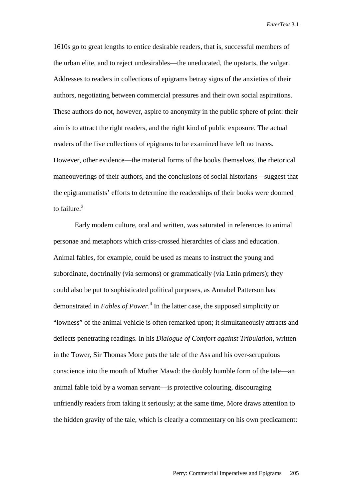1610s go to great lengths to entice desirable readers, that is, successful members of the urban elite, and to reject undesirables—the uneducated, the upstarts, the vulgar. Addresses to readers in collections of epigrams betray signs of the anxieties of their authors, negotiating between commercial pressures and their own social aspirations. These authors do not, however, aspire to anonymity in the public sphere of print: their aim is to attract the right readers, and the right kind of public exposure. The actual readers of the five collections of epigrams to be examined have left no traces. However, other evidence—the material forms of the books themselves, the rhetorical maneouverings of their authors, and the conclusions of social historians—suggest that the epigrammatists' efforts to determine the readerships of their books were doomed to failure. $3$ 

Early modern culture, oral and written, was saturated in references to animal personae and metaphors which criss-crossed hierarchies of class and education. Animal fables, for example, could be used as means to instruct the young and subordinate, doctrinally (via sermons) or grammatically (via Latin primers); they could also be put to sophisticated political purposes, as Annabel Patterson has demonstrated in *Fables of Power*. 4 In the latter case, the supposed simplicity or "lowness" of the animal vehicle is often remarked upon; it simultaneously attracts and deflects penetrating readings. In his *Dialogue of Comfort against Tribulation,* written in the Tower, Sir Thomas More puts the tale of the Ass and his over-scrupulous conscience into the mouth of Mother Mawd: the doubly humble form of the tale—an animal fable told by a woman servant—is protective colouring, discouraging unfriendly readers from taking it seriously; at the same time, More draws attention to the hidden gravity of the tale, which is clearly a commentary on his own predicament: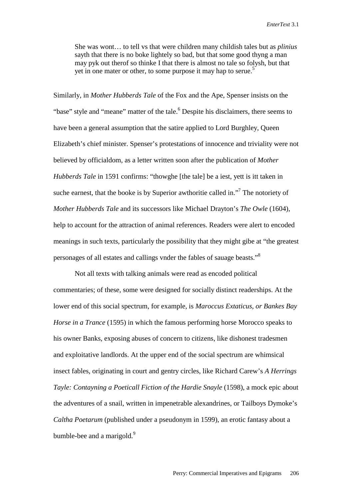She was wont… to tell vs that were children many childish tales but as *plinius*  sayth that there is no boke lightely so bad, but that some good thyng a man may pyk out therof so thinke I that there is almost no tale so folysh, but that yet in one mater or other, to some purpose it may hap to serue.<sup>5</sup>

Similarly, in *Mother Hubberds Tale* of the Fox and the Ape, Spenser insists on the "base" style and "meane" matter of the tale.<sup>6</sup> Despite his disclaimers, there seems to have been a general assumption that the satire applied to Lord Burghley, Queen Elizabeth's chief minister. Spenser's protestations of innocence and triviality were not believed by officialdom, as a letter written soon after the publication of *Mother Hubberds Tale* in 1591 confirms: "thowghe [the tale] be a iest, yett is itt taken in suche earnest, that the booke is by Superior awthoritie called in."<sup>7</sup> The notoriety of *Mother Hubberds Tale* and its successors like Michael Drayton's *The Owle* (1604), help to account for the attraction of animal references. Readers were alert to encoded meanings in such texts, particularly the possibility that they might gibe at "the greatest personages of all estates and callings vnder the fables of sauage beasts."8

Not all texts with talking animals were read as encoded political commentaries; of these, some were designed for socially distinct readerships. At the lower end of this social spectrum, for example, is *Maroccus Extaticus, or Bankes Bay Horse in a Trance* (1595) in which the famous performing horse Morocco speaks to his owner Banks, exposing abuses of concern to citizens, like dishonest tradesmen and exploitative landlords. At the upper end of the social spectrum are whimsical insect fables, originating in court and gentry circles, like Richard Carew's *A Herrings Tayle: Contayning a Poeticall Fiction of the Hardie Snayle* (1598), a mock epic about the adventures of a snail, written in impenetrable alexandrines, or Tailboys Dymoke's *Caltha Poetarum* (published under a pseudonym in 1599), an erotic fantasy about a bumble-bee and a marigold. $9$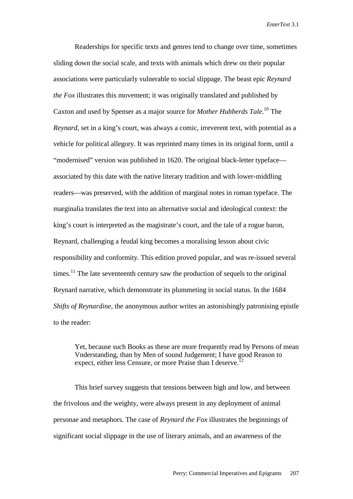Readerships for specific texts and genres tend to change over time, sometimes sliding down the social scale, and texts with animals which drew on their popular associations were particularly vulnerable to social slippage. The beast epic *Reynard the Fox* illustrates this movement; it was originally translated and published by Caxton and used by Spenser as a major source for *Mother Hubberds Tale*. 10 The *Reynard,* set in a king's court, was always a comic, irreverent text, with potential as a vehicle for political allegory. It was reprinted many times in its original form, until a "modernised" version was published in 1620. The original black-letter typeface associated by this date with the native literary tradition and with lower-middling readers—was preserved, with the addition of marginal notes in roman typeface. The marginalia translates the text into an alternative social and ideological context: the king's court is interpreted as the magistrate's court, and the tale of a rogue baron, Reynard, challenging a feudal king becomes a moralising lesson about civic responsibility and conformity. This edition proved popular, and was re-issued several times.<sup>11</sup> The late seventeenth century saw the production of sequels to the original Reynard narrative, which demonstrate its plummeting in social status. In the 1684 *Shifts of Reynardine*, the anonymous author writes an astonishingly patronising epistle to the reader:

Yet, because such Books as these are more frequently read by Persons of mean Vnderstanding, than by Men of sound Judgement; I have good Reason to expect, either less Censure, or more Praise than I deserve.<sup>12</sup>

This brief survey suggests that tensions between high and low, and between the frivolous and the weighty, were always present in any deployment of animal personae and metaphors. The case of *Reynard the Fox* illustrates the beginnings of significant social slippage in the use of literary animals, and an awareness of the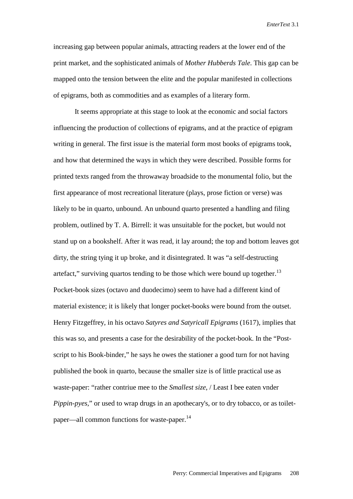increasing gap between popular animals, attracting readers at the lower end of the print market, and the sophisticated animals of *Mother Hubberds Tale*. This gap can be mapped onto the tension between the elite and the popular manifested in collections of epigrams, both as commodities and as examples of a literary form.

It seems appropriate at this stage to look at the economic and social factors influencing the production of collections of epigrams, and at the practice of epigram writing in general. The first issue is the material form most books of epigrams took, and how that determined the ways in which they were described. Possible forms for printed texts ranged from the throwaway broadside to the monumental folio, but the first appearance of most recreational literature (plays, prose fiction or verse) was likely to be in quarto, unbound. An unbound quarto presented a handling and filing problem, outlined by T. A. Birrell: it was unsuitable for the pocket, but would not stand up on a bookshelf. After it was read, it lay around; the top and bottom leaves got dirty, the string tying it up broke, and it disintegrated. It was "a self-destructing artefact," surviving quartos tending to be those which were bound up together.<sup>13</sup> Pocket-book sizes (octavo and duodecimo) seem to have had a different kind of material existence; it is likely that longer pocket-books were bound from the outset. Henry Fitzgeffrey, in his octavo *Satyres and Satyricall Epigrams* (1617), implies that this was so, and presents a case for the desirability of the pocket-book. In the "Postscript to his Book-binder," he says he owes the stationer a good turn for not having published the book in quarto, because the smaller size is of little practical use as waste-paper: "rather contriue mee to the *Smallest size*, / Least I bee eaten vnder *Pippin-pyes,*" or used to wrap drugs in an apothecary's, or to dry tobacco, or as toiletpaper—all common functions for waste-paper.<sup>14</sup>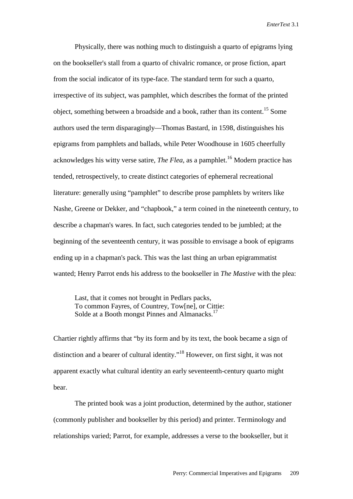Physically, there was nothing much to distinguish a quarto of epigrams lying on the bookseller's stall from a quarto of chivalric romance, or prose fiction, apart from the social indicator of its type-face. The standard term for such a quarto, irrespective of its subject, was pamphlet, which describes the format of the printed object, something between a broadside and a book, rather than its content.<sup>15</sup> Some authors used the term disparagingly—Thomas Bastard, in 1598, distinguishes his epigrams from pamphlets and ballads, while Peter Woodhouse in 1605 cheerfully acknowledges his witty verse satire, *The Flea*, as a pamphlet.<sup>16</sup> Modern practice has tended, retrospectively, to create distinct categories of ephemeral recreational literature: generally using "pamphlet" to describe prose pamphlets by writers like Nashe, Greene or Dekker, and "chapbook," a term coined in the nineteenth century, to describe a chapman's wares. In fact, such categories tended to be jumbled; at the beginning of the seventeenth century, it was possible to envisage a book of epigrams ending up in a chapman's pack. This was the last thing an urban epigrammatist wanted; Henry Parrot ends his address to the bookseller in *The Mastive* with the plea:

 Last, that it comes not brought in Pedlars packs, To common Fayres, of Countrey, Tow[ne], or Cittie: Solde at a Booth mongst Pinnes and Almanacks.<sup>17</sup>

Chartier rightly affirms that "by its form and by its text, the book became a sign of distinction and a bearer of cultural identity."18 However, on first sight, it was not apparent exactly what cultural identity an early seventeenth-century quarto might bear.

The printed book was a joint production, determined by the author, stationer (commonly publisher and bookseller by this period) and printer. Terminology and relationships varied; Parrot, for example, addresses a verse to the bookseller, but it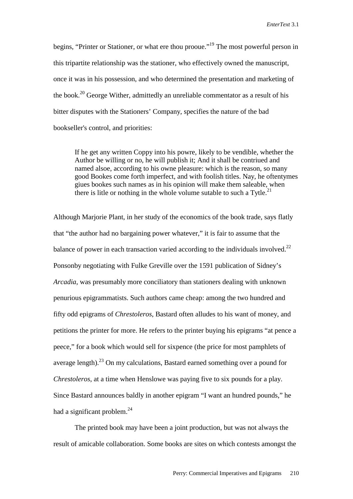begins, "Printer or Stationer, or what ere thou prooue."<sup>19</sup> The most powerful person in this tripartite relationship was the stationer, who effectively owned the manuscript, once it was in his possession, and who determined the presentation and marketing of the book.20 George Wither, admittedly an unreliable commentator as a result of his bitter disputes with the Stationers' Company, specifies the nature of the bad bookseller's control, and priorities:

If he get any written Coppy into his powre, likely to be vendible, whether the Author be willing or no, he will publish it; And it shall be contriued and named alsoe, according to his owne pleasure: which is the reason, so many good Bookes come forth imperfect, and with foolish titles. Nay, he oftentymes giues bookes such names as in his opinion will make them saleable, when there is litle or nothing in the whole volume sutable to such a  $\text{Tytle.}^2$ 

Although Marjorie Plant, in her study of the economics of the book trade, says flatly that "the author had no bargaining power whatever," it is fair to assume that the balance of power in each transaction varied according to the individuals involved.<sup>22</sup> Ponsonby negotiating with Fulke Greville over the 1591 publication of Sidney's *Arcadia*, was presumably more conciliatory than stationers dealing with unknown penurious epigrammatists. Such authors came cheap: among the two hundred and fifty odd epigrams of *Chrestoleros*, Bastard often alludes to his want of money, and petitions the printer for more. He refers to the printer buying his epigrams "at pence a peece," for a book which would sell for sixpence (the price for most pamphlets of average length).<sup>23</sup> On my calculations, Bastard earned something over a pound for *Chrestoleros*, at a time when Henslowe was paying five to six pounds for a play. Since Bastard announces baldly in another epigram "I want an hundred pounds," he had a significant problem. $^{24}$ 

The printed book may have been a joint production, but was not always the result of amicable collaboration. Some books are sites on which contests amongst the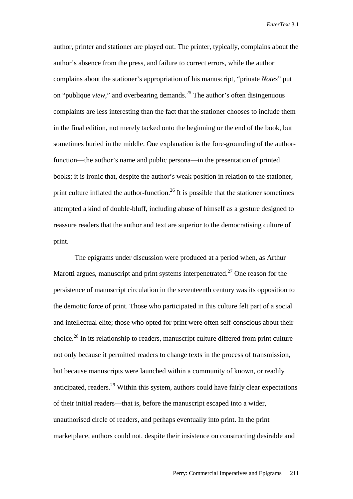author, printer and stationer are played out. The printer, typically, complains about the author's absence from the press, and failure to correct errors, while the author complains about the stationer's appropriation of his manuscript, "priuate *Notes*" put on "publique *view*," and overbearing demands.<sup>25</sup> The author's often disingenuous complaints are less interesting than the fact that the stationer chooses to include them in the final edition, not merely tacked onto the beginning or the end of the book, but sometimes buried in the middle. One explanation is the fore-grounding of the authorfunction—the author's name and public persona—in the presentation of printed books; it is ironic that, despite the author's weak position in relation to the stationer, print culture inflated the author-function.<sup>26</sup> It is possible that the stationer sometimes attempted a kind of double-bluff, including abuse of himself as a gesture designed to reassure readers that the author and text are superior to the democratising culture of print.

The epigrams under discussion were produced at a period when, as Arthur Marotti argues, manuscript and print systems interpenetrated.<sup>27</sup> One reason for the persistence of manuscript circulation in the seventeenth century was its opposition to the demotic force of print. Those who participated in this culture felt part of a social and intellectual elite; those who opted for print were often self-conscious about their choice.28 In its relationship to readers, manuscript culture differed from print culture not only because it permitted readers to change texts in the process of transmission, but because manuscripts were launched within a community of known, or readily anticipated, readers.<sup>29</sup> Within this system, authors could have fairly clear expectations of their initial readers—that is, before the manuscript escaped into a wider, unauthorised circle of readers, and perhaps eventually into print. In the print marketplace, authors could not, despite their insistence on constructing desirable and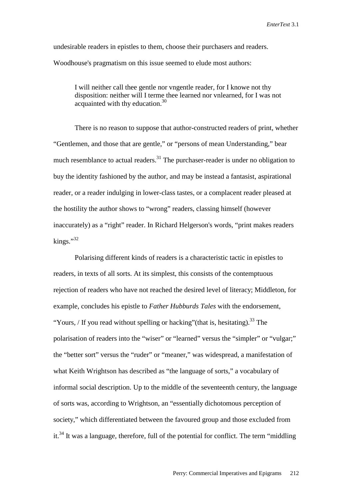undesirable readers in epistles to them, choose their purchasers and readers. Woodhouse's pragmatism on this issue seemed to elude most authors:

I will neither call thee gentle nor vngentle reader, for I knowe not thy disposition: neither will I terme thee learned nor vnlearned, for I was not acquainted with thy education.<sup>30</sup>

There is no reason to suppose that author-constructed readers of print, whether "Gentlemen, and those that are gentle," or "persons of mean Understanding," bear much resemblance to actual readers. $31$  The purchaser-reader is under no obligation to buy the identity fashioned by the author, and may be instead a fantasist, aspirational reader, or a reader indulging in lower-class tastes, or a complacent reader pleased at the hostility the author shows to "wrong" readers, classing himself (however inaccurately) as a "right" reader. In Richard Helgerson's words, "print makes readers  $kings.$ <sup>32</sup>

Polarising different kinds of readers is a characteristic tactic in epistles to readers, in texts of all sorts. At its simplest, this consists of the contemptuous rejection of readers who have not reached the desired level of literacy; Middleton, for example, concludes his epistle to *Father Hubburds Tales* with the endorsement, "Yours, / If you read without spelling or hacking" (that is, hesitating).<sup>33</sup> The polarisation of readers into the "wiser" or "learned" versus the "simpler" or "vulgar;" the "better sort" versus the "ruder" or "meaner," was widespread, a manifestation of what Keith Wrightson has described as "the language of sorts," a vocabulary of informal social description. Up to the middle of the seventeenth century, the language of sorts was, according to Wrightson, an "essentially dichotomous perception of society," which differentiated between the favoured group and those excluded from it.<sup>34</sup> It was a language, therefore, full of the potential for conflict. The term "middling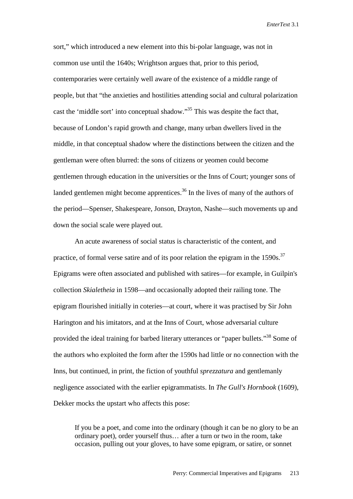sort," which introduced a new element into this bi-polar language, was not in common use until the 1640s; Wrightson argues that, prior to this period, contemporaries were certainly well aware of the existence of a middle range of people, but that "the anxieties and hostilities attending social and cultural polarization cast the 'middle sort' into conceptual shadow."<sup>35</sup> This was despite the fact that, because of London's rapid growth and change, many urban dwellers lived in the middle, in that conceptual shadow where the distinctions between the citizen and the gentleman were often blurred: the sons of citizens or yeomen could become gentlemen through education in the universities or the Inns of Court; younger sons of landed gentlemen might become apprentices.<sup>36</sup> In the lives of many of the authors of the period—Spenser, Shakespeare, Jonson, Drayton, Nashe—such movements up and down the social scale were played out.

An acute awareness of social status is characteristic of the content, and practice, of formal verse satire and of its poor relation the epigram in the  $1590s$ .<sup>37</sup> Epigrams were often associated and published with satires—for example, in Guilpin's collection *Skialetheia* in 1598—and occasionally adopted their railing tone. The epigram flourished initially in coteries—at court, where it was practised by Sir John Harington and his imitators, and at the Inns of Court, whose adversarial culture provided the ideal training for barbed literary utterances or "paper bullets."<sup>38</sup> Some of the authors who exploited the form after the 1590s had little or no connection with the Inns, but continued, in print, the fiction of youthful *sprezzatura* and gentlemanly negligence associated with the earlier epigrammatists. In *The Gull's Hornbook* (1609), Dekker mocks the upstart who affects this pose:

If you be a poet, and come into the ordinary (though it can be no glory to be an ordinary poet), order yourself thus… after a turn or two in the room, take occasion, pulling out your gloves, to have some epigram, or satire, or sonnet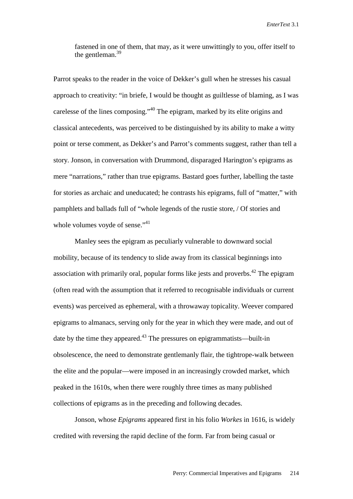fastened in one of them, that may, as it were unwittingly to you, offer itself to the gentleman.<sup>39</sup>

Parrot speaks to the reader in the voice of Dekker's gull when he stresses his casual approach to creativity: "in briefe, I would be thought as guiltlesse of blaming, as I was carelesse of the lines composing."40 The epigram, marked by its elite origins and classical antecedents, was perceived to be distinguished by its ability to make a witty point or terse comment, as Dekker's and Parrot's comments suggest, rather than tell a story. Jonson, in conversation with Drummond, disparaged Harington's epigrams as mere "narrations," rather than true epigrams. Bastard goes further, labelling the taste for stories as archaic and uneducated; he contrasts his epigrams, full of "matter," with pamphlets and ballads full of "whole legends of the rustie store, / Of stories and whole volumes voyde of sense."<sup>41</sup>

Manley sees the epigram as peculiarly vulnerable to downward social mobility, because of its tendency to slide away from its classical beginnings into association with primarily oral, popular forms like jests and proverbs.<sup>42</sup> The epigram (often read with the assumption that it referred to recognisable individuals or current events) was perceived as ephemeral, with a throwaway topicality. Weever compared epigrams to almanacs, serving only for the year in which they were made, and out of date by the time they appeared.<sup>43</sup> The pressures on epigrammatists—built-in obsolescence, the need to demonstrate gentlemanly flair, the tightrope-walk between the elite and the popular—were imposed in an increasingly crowded market, which peaked in the 1610s, when there were roughly three times as many published collections of epigrams as in the preceding and following decades.

Jonson, whose *Epigrams* appeared first in his folio *Workes* in 1616, is widely credited with reversing the rapid decline of the form. Far from being casual or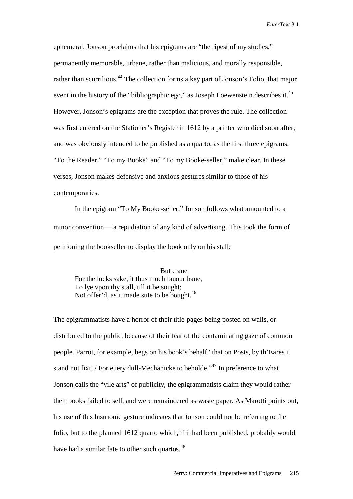ephemeral, Jonson proclaims that his epigrams are "the ripest of my studies," permanently memorable, urbane, rather than malicious, and morally responsible, rather than scurrilious.<sup>44</sup> The collection forms a key part of Jonson's Folio, that major event in the history of the "bibliographic ego," as Joseph Loewenstein describes it.<sup>45</sup> However, Jonson's epigrams are the exception that proves the rule. The collection was first entered on the Stationer's Register in 1612 by a printer who died soon after, and was obviously intended to be published as a quarto, as the first three epigrams, "To the Reader," "To my Booke" and "To my Booke-seller," make clear. In these verses, Jonson makes defensive and anxious gestures similar to those of his contemporaries.

In the epigram "To My Booke-seller," Jonson follows what amounted to a minor convention—a repudiation of any kind of advertising. This took the form of petitioning the bookseller to display the book only on his stall:

 But craue For the lucks sake, it thus much fauour haue, To lye vpon thy stall, till it be sought; Not offer'd, as it made sute to be bought.<sup>46</sup>

The epigrammatists have a horror of their title-pages being posted on walls, or distributed to the public, because of their fear of the contaminating gaze of common people. Parrot, for example, begs on his book's behalf "that on Posts, by th'Eares it stand not fixt, / For euery dull-Mechanicke to beholde.<sup> $,47$ </sup> In preference to what Jonson calls the "vile arts" of publicity, the epigrammatists claim they would rather their books failed to sell, and were remaindered as waste paper. As Marotti points out, his use of this histrionic gesture indicates that Jonson could not be referring to the folio, but to the planned 1612 quarto which, if it had been published, probably would have had a similar fate to other such quartos.<sup>48</sup>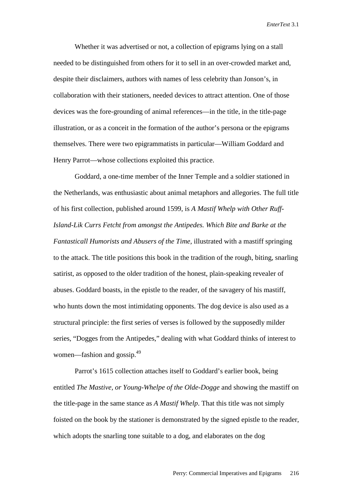Whether it was advertised or not, a collection of epigrams lying on a stall needed to be distinguished from others for it to sell in an over-crowded market and, despite their disclaimers, authors with names of less celebrity than Jonson's, in collaboration with their stationers, needed devices to attract attention. One of those devices was the fore-grounding of animal references—in the title, in the title-page illustration, or as a conceit in the formation of the author's persona or the epigrams themselves. There were two epigrammatists in particular—William Goddard and Henry Parrot—whose collections exploited this practice.

Goddard, a one-time member of the Inner Temple and a soldier stationed in the Netherlands, was enthusiastic about animal metaphors and allegories. The full title of his first collection, published around 1599, is *A Mastif Whelp with Other Ruff-Island-Lik Currs Fetcht from amongst the Antipedes. Which Bite and Barke at the Fantasticall Humorists and Abusers of the Time,* illustrated with a mastiff springing to the attack. The title positions this book in the tradition of the rough, biting, snarling satirist, as opposed to the older tradition of the honest, plain-speaking revealer of abuses. Goddard boasts, in the epistle to the reader, of the savagery of his mastiff, who hunts down the most intimidating opponents. The dog device is also used as a structural principle: the first series of verses is followed by the supposedly milder series, "Dogges from the Antipedes," dealing with what Goddard thinks of interest to women—fashion and gossip.<sup>49</sup>

Parrot's 1615 collection attaches itself to Goddard's earlier book, being entitled *The Mastive, or Young-Whelpe of the Olde-Dogge* and showing the mastiff on the title-page in the same stance as *A Mastif Whelp*. That this title was not simply foisted on the book by the stationer is demonstrated by the signed epistle to the reader, which adopts the snarling tone suitable to a dog, and elaborates on the dog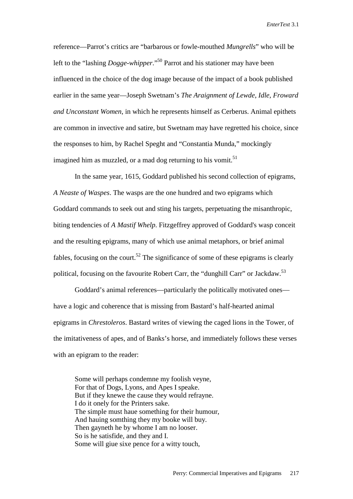reference—Parrot's critics are "barbarous or fowle-mouthed *Mungrells*" who will be left to the "lashing *Dogge-whipper*."50 Parrot and his stationer may have been influenced in the choice of the dog image because of the impact of a book published earlier in the same year—Joseph Swetnam's *The Araignment of Lewde, Idle, Froward and Unconstant Women*, in which he represents himself as Cerberus. Animal epithets are common in invective and satire, but Swetnam may have regretted his choice, since the responses to him, by Rachel Speght and "Constantia Munda," mockingly imagined him as muzzled, or a mad dog returning to his vomit.<sup>51</sup>

In the same year, 1615, Goddard published his second collection of epigrams, *A Neaste of Waspes*. The wasps are the one hundred and two epigrams which Goddard commands to seek out and sting his targets, perpetuating the misanthropic, biting tendencies of *A Mastif Whelp*. Fitzgeffrey approved of Goddard's wasp conceit and the resulting epigrams, many of which use animal metaphors, or brief animal fables, focusing on the court.<sup>52</sup> The significance of some of these epigrams is clearly political, focusing on the favourite Robert Carr, the "dunghill Carr" or Jackdaw.<sup>53</sup>

Goddard's animal references—particularly the politically motivated ones have a logic and coherence that is missing from Bastard's half-hearted animal epigrams in *Chrestoleros*. Bastard writes of viewing the caged lions in the Tower, of the imitativeness of apes, and of Banks's horse, and immediately follows these verses with an epigram to the reader:

 Some will perhaps condemne my foolish veyne, For that of Dogs, Lyons, and Apes I speake. But if they knewe the cause they would refrayne. I do it onely for the Printers sake. The simple must haue something for their humour, And hauing somthing they my booke will buy. Then gayneth he by whome I am no looser. So is he satisfide, and they and I. Some will giue sixe pence for a witty touch,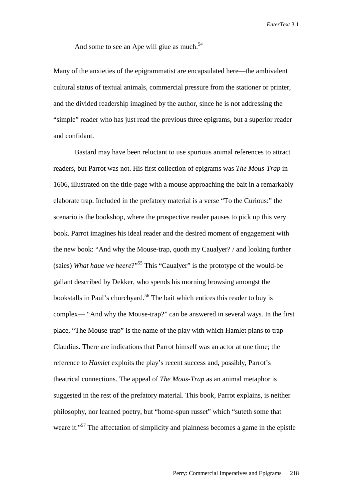And some to see an Ape will giue as much.<sup>54</sup>

Many of the anxieties of the epigrammatist are encapsulated here—the ambivalent cultural status of textual animals, commercial pressure from the stationer or printer, and the divided readership imagined by the author, since he is not addressing the "simple" reader who has just read the previous three epigrams, but a superior reader and confidant.

Bastard may have been reluctant to use spurious animal references to attract readers, but Parrot was not. His first collection of epigrams was *The Mous-Trap* in 1606, illustrated on the title-page with a mouse approaching the bait in a remarkably elaborate trap. Included in the prefatory material is a verse "To the Curious:" the scenario is the bookshop, where the prospective reader pauses to pick up this very book. Parrot imagines his ideal reader and the desired moment of engagement with the new book: "And why the Mouse-trap, quoth my Caualyer? / and looking further (saies) *What haue we heere*?"55 This "Caualyer" is the prototype of the would-be gallant described by Dekker, who spends his morning browsing amongst the bookstalls in Paul's churchyard.<sup>56</sup> The bait which entices this reader to buy is complex— "And why the Mouse-trap?" can be answered in several ways. In the first place, "The Mouse-trap" is the name of the play with which Hamlet plans to trap Claudius. There are indications that Parrot himself was an actor at one time; the reference to *Hamlet* exploits the play's recent success and, possibly, Parrot's theatrical connections. The appeal of *The Mous-Trap* as an animal metaphor is suggested in the rest of the prefatory material. This book, Parrot explains, is neither philosophy, nor learned poetry, but "home-spun russet" which "suteth some that weare it."<sup>57</sup> The affectation of simplicity and plainness becomes a game in the epistle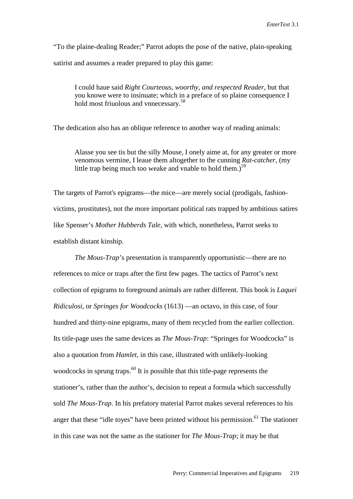"To the plaine-dealing Reader;" Parrot adopts the pose of the native, plain-speaking satirist and assumes a reader prepared to play this game:

I could haue said *Right Courteous, woorthy, and respected Reader*, but that you knowe were to insinuate; which in a preface of so plaine consequence I hold most friuolous and vnnecessary.<sup>58</sup>

The dedication also has an oblique reference to another way of reading animals:

Alasse you see tis but the silly Mouse, I onely aime at, for any greater or more venomous vermine, I leaue them altogether to the cunning *Rat-catcher,* (my little trap being much too weake and vnable to hold them.)<sup>59</sup>

The targets of Parrot's epigrams—the mice—are merely social (prodigals, fashionvictims, prostitutes), not the more important political rats trapped by ambitious satires like Spenser's *Mother Hubberds Tale*, with which, nonetheless, Parrot seeks to establish distant kinship.

*The Mous-Trap*'s presentation is transparently opportunistic—there are no references to mice or traps after the first few pages. The tactics of Parrot's next collection of epigrams to foreground animals are rather different. This book is *Laquei Ridiculosi,* or *Springes for Woodcocks* (1613) —an octavo, in this case, of four hundred and thirty-nine epigrams, many of them recycled from the earlier collection. Its title-page uses the same devices as *The Mous-Trap*: "Springes for Woodcocks" is also a quotation from *Hamlet*, in this case, illustrated with unlikely-looking woodcocks in sprung traps.<sup>60</sup> It is possible that this title-page represents the stationer's, rather than the author's, decision to repeat a formula which successfully sold *The Mous-Trap*. In his prefatory material Parrot makes several references to his anger that these "idle toyes" have been printed without his permission.<sup>61</sup> The stationer in this case was not the same as the stationer for *The Mous-Trap*; it may be that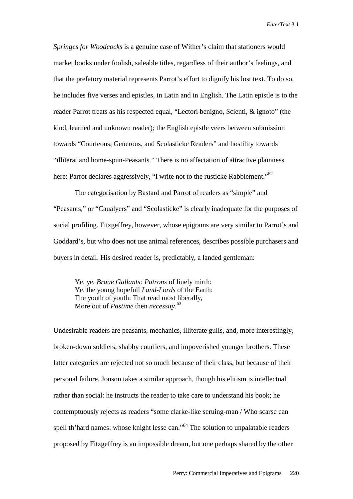*Springes for Woodcocks* is a genuine case of Wither's claim that stationers would market books under foolish, saleable titles, regardless of their author's feelings, and that the prefatory material represents Parrot's effort to dignify his lost text. To do so, he includes five verses and epistles, in Latin and in English. The Latin epistle is to the reader Parrot treats as his respected equal, "Lectori benigno, Scienti, & ignoto" (the kind, learned and unknown reader); the English epistle veers between submission towards "Courteous, Generous, and Scolasticke Readers" and hostility towards "illiterat and home-spun-Peasants." There is no affectation of attractive plainness here: Parrot declares aggressively, "I write not to the rusticke Rabblement."<sup>62</sup>

The categorisation by Bastard and Parrot of readers as "simple" and "Peasants," or "Caualyers" and "Scolasticke" is clearly inadequate for the purposes of social profiling. Fitzgeffrey, however, whose epigrams are very similar to Parrot's and Goddard's, but who does not use animal references, describes possible purchasers and buyers in detail. His desired reader is, predictably, a landed gentleman:

 Ye, ye, *Braue Gallants: Patrons* of liuely mirth: Ye, the young hopefull *Land-Lords* of the Earth: The youth of youth: That read most liberally, More out of *Pastime* then *necessity*. 63

Undesirable readers are peasants, mechanics, illiterate gulls, and, more interestingly, broken-down soldiers, shabby courtiers, and impoverished younger brothers. These latter categories are rejected not so much because of their class, but because of their personal failure. Jonson takes a similar approach, though his elitism is intellectual rather than social: he instructs the reader to take care to understand his book; he contemptuously rejects as readers "some clarke-like seruing-man / Who scarse can spell th'hard names: whose knight lesse can."<sup>64</sup> The solution to unpalatable readers proposed by Fitzgeffrey is an impossible dream, but one perhaps shared by the other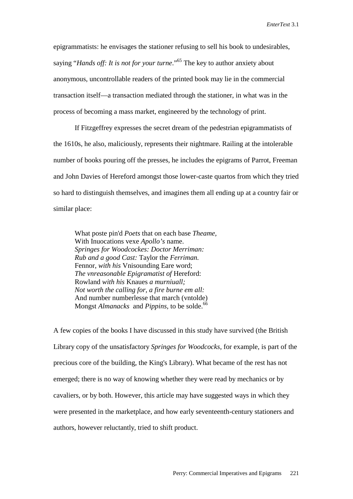epigrammatists: he envisages the stationer refusing to sell his book to undesirables, saying "*Hands off: It is not for your turne*."65 The key to author anxiety about anonymous, uncontrollable readers of the printed book may lie in the commercial transaction itself—a transaction mediated through the stationer, in what was in the process of becoming a mass market, engineered by the technology of print.

If Fitzgeffrey expresses the secret dream of the pedestrian epigrammatists of the 1610s, he also, maliciously, represents their nightmare. Railing at the intolerable number of books pouring off the presses, he includes the epigrams of Parrot, Freeman and John Davies of Hereford amongst those lower-caste quartos from which they tried so hard to distinguish themselves, and imagines them all ending up at a country fair or similar place:

 What poste pin'd *Poets* that on each base *Theame,* With Inuocations vexe *Apollo's* name. *Springes for Woodcockes: Doctor Merriman: Rub and a good Cast:* Taylor the *Ferriman.* Fennor, *with his* Vnisounding Eare word; *The vnreasonable Epigramatist of* Hereford: Rowland *with his* Knaues *a murniuall; Not worth the calling for, a fire burne em all:*  And number numberlesse that march (vntolde) Mongst *Almanacks* and *Pippins*, to be solde.<sup>66</sup>

A few copies of the books I have discussed in this study have survived (the British Library copy of the unsatisfactory *Springes for Woodcocks*, for example, is part of the precious core of the building, the King's Library). What became of the rest has not emerged; there is no way of knowing whether they were read by mechanics or by cavaliers, or by both. However, this article may have suggested ways in which they were presented in the marketplace, and how early seventeenth-century stationers and authors, however reluctantly, tried to shift product.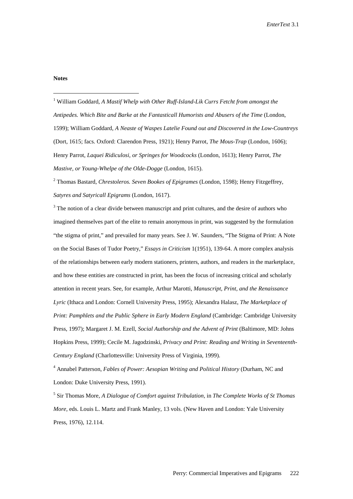## **Notes**

÷,

<sup>1</sup> William Goddard, *A Mastif Whelp with Other Ruff-Island-Lik Currs Fetcht from amongst the Antipedes. Which Bite and Barke at the Fantasticall Humorists and Abusers of the Time* (London, 1599); William Goddard, *A Neaste of Waspes Latelie Found out and Discovered in the Low-Countreys* (Dort, 1615; facs. Oxford: Clarendon Press, 1921); Henry Parrot, *The Mous-Trap* (London, 1606); Henry Parrot, *Laquei Ridiculosi, or Springes for Woodcocks* (London, 1613); Henry Parrot, *The Mastive, or Young-Whelpe of the Olde-Dogge* (London, 1615).

2 Thomas Bastard, *Chrestoleros. Seven Bookes of Epigrames* (London, 1598); Henry Fitzgeffrey, *Satyres and Satyricall Epigrams* (London, 1617).

 $3$  The notion of a clear divide between manuscript and print cultures, and the desire of authors who imagined themselves part of the elite to remain anonymous in print, was suggested by the formulation "the stigma of print," and prevailed for many years. See J. W. Saunders, "The Stigma of Print: A Note on the Social Bases of Tudor Poetry," *Essays in Criticism* 1(1951), 139-64. A more complex analysis of the relationships between early modern stationers, printers, authors, and readers in the marketplace, and how these entities are constructed in print, has been the focus of increasing critical and scholarly attention in recent years. See, for example, Arthur Marotti, *Manuscript, Print, and the Renaissance Lyric* (Ithaca and London: Cornell University Press, 1995); Alexandra Halasz, *The Marketplace of Print: Pamphlets and the Public Sphere in Early Modern England* (Cambridge: Cambridge University Press, 1997); Margaret J. M. Ezell, *Social Authorship and the Advent of Print* (Baltimore, MD: Johns Hopkins Press, 1999); Cecile M. Jagodzinski, *Privacy and Print: Reading and Writing in Seventeenth-Century England* (Charlottesville: University Press of Virginia, 1999).

4 Annabel Patterson, *Fables of Power: Aesopian Writing and Political History* (Durham, NC and London: Duke University Press, 1991).

5 Sir Thomas More, *A Dialogue of Comfort against Tribulation,* in *The Complete Works of St Thomas More,* eds. Louis L. Martz and Frank Manley, 13 vols. (New Haven and London: Yale University Press, 1976), 12.114.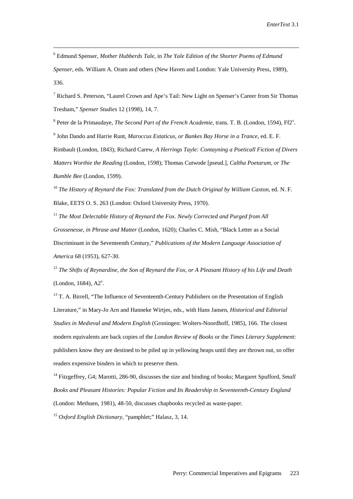6 Edmund Spenser, *Mother Hubberds Tale*, in *The Yale Edition of the Shorter Poems of Edmund Spenser*, eds. William A. Oram and others (New Haven and London: Yale University Press, 1989), 336.

i<br>Li

<sup>7</sup> Richard S. Peterson, "Laurel Crown and Ape's Tail: New Light on Spenser's Career from Sir Thomas Tresham," *Spenser Studies* 12 (1998), 14, 7.

<sup>8</sup> Peter de la Primaudaye, *The Second Part of the French Academie*, trans. T. B. (London, 1594), Ff2<sup>v</sup>. 9 John Dando and Harrie Runt, *Maroccus Extaticus, or Bankes Bay Horse in a Trance*, ed. E. F. Rimbault (London, 1843); Richard Carew, *A Herrings Tayle: Contayning a Poeticall Fiction of Divers Matters Worthie the Reading* (London, 1598); Thomas Cutwode [pseud.], *Caltha Poetarum, or The Bumble Bee* (London, 1599).

<sup>10</sup> *The History of Reynard the Fox: Translated from the Dutch Original by William Caxton, ed. N. F.* Blake, EETS O. S. 263 (London: Oxford University Press, 1970).

<sup>11</sup> *The Most Delectable History of Reynard the Fox. Newly Corrected and Purged from All Grossenesse, in Phrase and Matter* (London, 1620); Charles C. Mish, "Black Letter as a Social Discriminant in the Seventeenth Century," *Publications of the Modern Language Association of America* 68 (1953), 627-30.

<sup>12</sup> *The Shifts of Reynardine, the Son of Reynard the Fox, or A Pleasant History of his Life and Death*  $(London, 1684), A2<sup>v</sup>$ .

<sup>13</sup> T. A. Birrell, "The Influence of Seventeenth-Century Publishers on the Presentation of English Literature," in Mary-Jo Arn and Hanneke Wirtjes, eds., with Hans Jansen, *Historical and Editorial Studies in Medieval and Modern English* (Groningen: Wolters-Noordhoff, 1985), 166. The closest modern equivalents are back copies of the *London Review of Books* or the *Times Literary Supplement*: publishers know they are destined to be piled up in yellowing heaps until they are thrown out, so offer readers expensive binders in which to preserve them.

<sup>14</sup> Fitzgeffrey, G4; Marotti, 286-90, discusses the size and binding of books; Margaret Spufford, *Small Books and Pleasant Histories: Popular Fiction and Its Readership in Seventeenth-Century England* (London: Methuen, 1981), 48-50, discusses chapbooks recycled as waste-paper.

<sup>15</sup> *Oxford English Dictionary*, "pamphlet;" Halasz, 3, 14.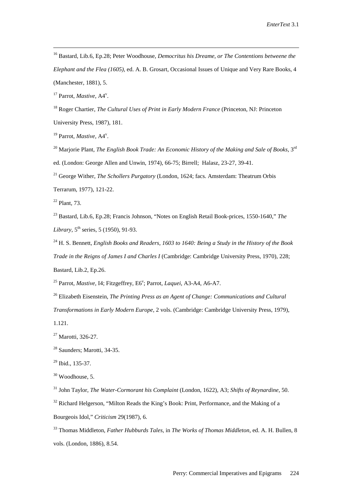16 Bastard, Lib.6, Ep.28; Peter Woodhouse, *Democritus his Dreame, or The Contentions betweene the Elephant and the Flea (1605),* ed. A. B. Grosart, Occasional Issues of Unique and Very Rare Books, 4 (Manchester, 1881), 5.

<sup>17</sup> Parrot, *Mastive*, A4<sup>v</sup>.

i<br>Li

<sup>18</sup> Roger Chartier, *The Cultural Uses of Print in Early Modern France* (Princeton, NJ: Princeton University Press, 1987), 181.

<sup>19</sup> Parrot, *Mastive*, A4<sup>v</sup>.

<sup>20</sup> Marjorie Plant, *The English Book Trade: An Economic History of the Making and Sale of Books*, 3<sup>rd</sup> ed. (London: George Allen and Unwin, 1974), 66-75; Birrell; Halasz, 23-27, 39-41.

21 George Wither, *The Schollers Purgatory* (London, 1624; facs. Amsterdam: Theatrum Orbis

Terrarum, 1977), 121-22.

 $22$  Plant, 73.

23 Bastard, Lib.6, Ep.28; Francis Johnson, "Notes on English Retail Book-prices, 1550-1640," *The Library*,  $5^{\text{th}}$  series, 5 (1950), 91-93.

24 H. S. Bennett, *English Books and Readers, 1603 to 1640: Being a Study in the History of the Book Trade in the Reigns of James I and Charles I* (Cambridge: Cambridge University Press, 1970), 228; Bastard, Lib.2, Ep.26.

<sup>25</sup> Parrot, *Mastive*, I4; Fitzgeffrey, E6<sup>v</sup>; Parrot, *Laquei*, A3-A4, A6-A7.

26 Elizabeth Eisenstein, *The Printing Press as an Agent of Change: Communications and Cultural* 

*Transformations in Early Modern Europe*, 2 vols. (Cambridge: Cambridge University Press, 1979),

1.121.

<sup>27</sup> Marotti, 326-27.

28 Saunders; Marotti, 34-35.

 $29$  Ibid., 135-37.

 $30$  Woodhouse, 5.

31 John Taylor, *The Water-Cormorant his Complaint* (London, 1622), A3; *Shifts of Reynardine*, 50.

 $32$  Richard Helgerson, "Milton Reads the King's Book: Print, Performance, and the Making of a Bourgeois Idol," *Criticism* 29(1987), 6.

33 Thomas Middleton, *Father Hubburds Tales*, in *The Works of Thomas Middleton*, ed. A. H. Bullen, 8 vols. (London, 1886), 8.54.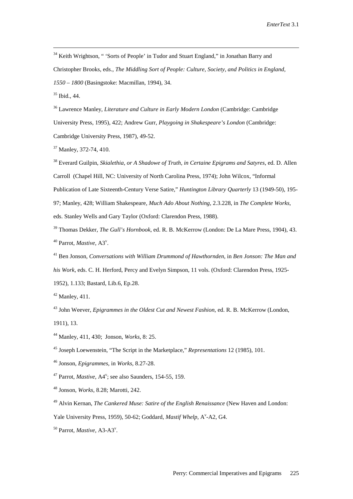<sup>34</sup> Keith Wrightson, " 'Sorts of People' in Tudor and Stuart England," in Jonathan Barry and Christopher Brooks, eds., *The Middling Sort of People: Culture, Society, and Politics in England, 1550 – 1800* (Basingstoke: Macmillan, 1994), 34.

35 Ibid., 44.

i<br>Li

36 Lawrence Manley, *Literature and Culture in Early Modern London* (Cambridge: Cambridge University Press, 1995), 422; Andrew Gurr, *Playgoing in Shakespeare's London* (Cambridge: Cambridge University Press, 1987), 49-52.

37 Manley, 372-74, 410.

38 Everard Guilpin, *Skialethia, or A Shadowe of Truth, in Certaine Epigrams and Satyres*, ed. D. Allen Carroll (Chapel Hill, NC: University of North Carolina Press, 1974); John Wilcox, "Informal Publication of Late Sixteenth-Century Verse Satire," *Huntington Library Quarterly* 13 (1949-50), 195- 97; Manley, 428; William Shakespeare, *Much Ado About Nothing*, 2.3.228, in *The Complete Works*, eds. Stanley Wells and Gary Taylor (Oxford: Clarendon Press, 1988).

39 Thomas Dekker, *The Gull's Hornbook*, ed. R. B. McKerrow (London: De La Mare Press, 1904), 43. <sup>40</sup> Parrot, *Mastive*, A3<sup>v</sup>.

41 Ben Jonson, *Conversations with William Drummond of Hawthornden*, in *Ben Jonson: The Man and his Work*, eds. C. H. Herford, Percy and Evelyn Simpson, 11 vols. (Oxford: Clarendon Press, 1925- 1952), 1.133; Bastard, Lib.6, Ep.28.

 $42$  Manley, 411.

43 John Weever, *Epigrammes in the Oldest Cut and Newest Fashion,* ed. R. B. McKerrow (London, 1911), 13.

44 Manley, 411, 430; Jonson, *Works*, 8: 25.

45 Joseph Loewenstein, "The Script in the Marketplace," *Representations* 12 (1985), 101.

46 Jonson, *Epigrammes*, in *Works*, 8.27-28.

<sup>47</sup> Parrot, *Mastive*, A4<sup>v</sup>; see also Saunders, 154-55, 159.

48 Jonson, *Works*, 8.28; Marotti, 242.

49 Alvin Kernan, *The Cankered Muse: Satire of the English Renaissance* (New Haven and London:

Yale University Press, 1959), 50-62; Goddard, *Mastif Whelp*, A<sup>v</sup>-A2, G4.

<sup>50</sup> Parrot, *Mastive*, A3-A3<sup>v</sup>.